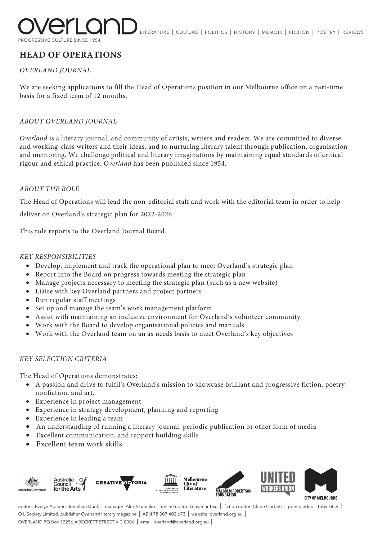

ERATURE | CULTURE | POLITICS | HISTORY | MEMOIR | FICTION | POETRY | REVIEWS

PROGRESSIVE CULTURE SINCE 1954

# **HEAD OF OPERATIONS**

# *OVERLAND JOURNAL*

We are seeking applications to fill the Head of Operations position in our Melbourne office on a part-time basis for a fixed term of 12 months.

# *ABOUT OVERLAND JOURNAL*

*Overland* is a literary journal, and community of artists, writers and readers. We are committed to diverse and working-class writers and their ideas, and to nurturing literary talent through publication, organisation and mentoring. We challenge political and literary imaginations by maintaining equal standards of critical rigour and ethical practice. *Overland* has been published since 1954.

### *ABOUT THE ROLE*

The Head of Operations will lead the non-editorial staff and work with the editorial team in order to help

deliver on Overland's strategic plan for 2022-2026.

This role reports to the Overland Journal Board.

### *KEY RESPONSIBILITIES*

- Develop, implement and track the operational plan to meet Overland's strategic plan
- Report into the Board on progress towards meeting the strategic plan
- Manage projects necessary to meeting the strategic plan (such as a new website)
- Liaise with key Overland partners and project partners
- Run regular staff meetings
- Set up and manage the team's work management platform
- Assist with maintaining an inclusive environment for Overland's volunteer community
- Work with the Board to develop organisational policies and manuals
- Work with the Overland team on an as needs basis to meet Overland's key objectives

### *KEY SELECTION CRITERIA*

The Head of Operations demonstrates:

- A passion and drive to fulfil's Overland's mission to showcase brilliant and progressive fiction, poetry, nonfiction, and art.
- Experience in project management
- Experience in strategy development, planning and reporting
- Experience in leading a team
- An understanding of running a literary journal, periodic publication or other form of media
- Excellent communication, and rapport building skills
- Excellent team work skills



editors Evelyn Araluen, Jonathan Dunk | manager Alex Skutenko | online editor Giovanni Tiso | fiction editor Claire Corbett | poetry editor Toby Fitch | O L Society Limited, publisher *Overland* literary magazine | ABN 78 007 402 673 | website overland.org.au | OVERLAND PO Box 12256 A'BECKETT STREET VIC 8006 | email overland@overland.org.au |